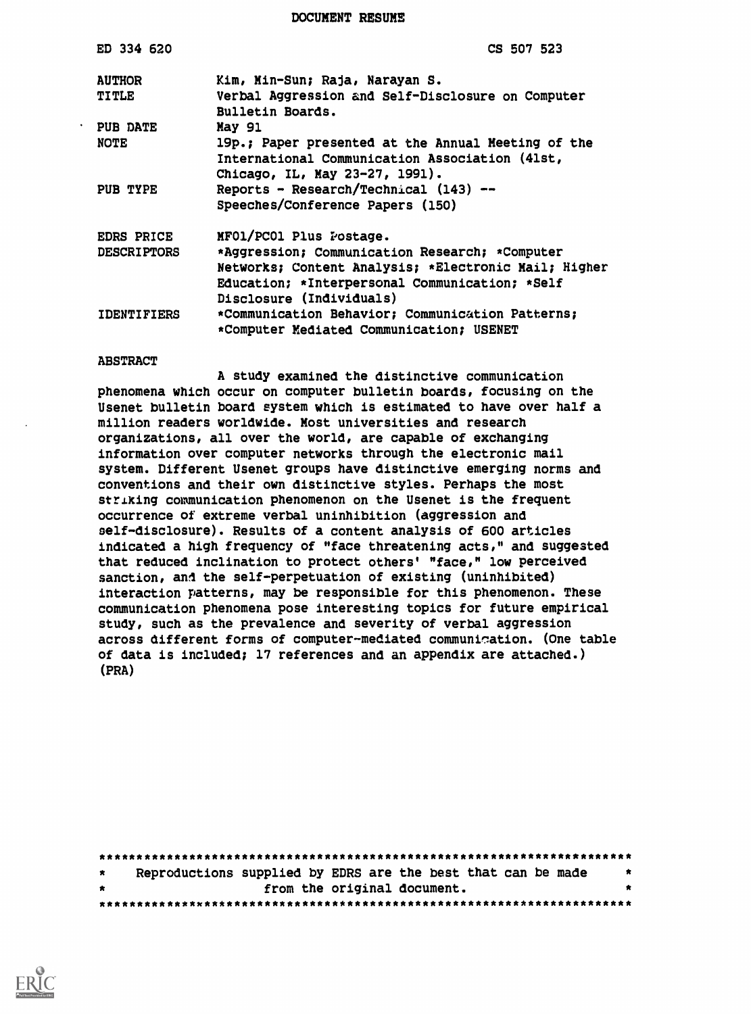DOCUMENT RESUME

| ED 334 620         | CS 507 523                                                            |
|--------------------|-----------------------------------------------------------------------|
| <b>AUTHOR</b>      | Kim, Min-Sun; Raja, Narayan S.                                        |
| <b>TITLE</b>       | Verbal Aggression and Self-Disclosure on Computer<br>Bulletin Boards. |
| PUB DATE           | <b>May 91</b>                                                         |
| <b>NOTE</b>        | 19p.; Paper presented at the Annual Meeting of the                    |
|                    | International Communication Association (41st,                        |
|                    | Chicago, IL, May 23-27, 1991).                                        |
| PUB TYPE           | Reports - Research/Technical (143) --                                 |
|                    | Speeches/Conference Papers (150)                                      |
| <b>EDRS PRICE</b>  | MFO1/PCO1 Plus Postage.                                               |
| <b>DESCRIPTORS</b> | *Aggression; Communication Research; *Computer                        |
|                    | Networks; Content Analysis; *Electronic Mail; Higher                  |
|                    | Education; *Interpersonal Communication; *Self                        |
|                    | Disclosure (Individuals)                                              |
| <b>IDENTIFIERS</b> | *Communication Behavior; Communication Patterns;                      |
|                    | *Computer Mediated Communication; USENET                              |
|                    |                                                                       |

#### ABSTRACT

A study examined the distinctive communication phenomena which occur on computer bulletin boards, focusing on the Usenet bulletin board system which is estimated to have over half a million readers worldwide. Most universities and research organizations, all over the world, are capable of exchanging information over computer networks through the electronic mail system. Different Usenet groups have distinctive emerging norms and conventions and their own distinctive styles. Perhaps the most striking communication phenomenon on the Usenet is the frequent occurrence of extreme verbal uninhibition (aggression and self-disclosure). Results of a content analysis of 600 articles indicated a high frequency of "face threatening acts," and suggested that reduced inclination to protect others' "face," low perceived sanction, and the self-perpetuation of existing (uninhibited) interaction patterns, may be responsible for this phenomenon. These communication phenomena pose interesting topics for future empirical study, such as the prevalence and severity of verbal aggression across different forms of computer-mediated communiation. (One table of data is included; 17 references and an appendix are attached.) (PRA)

| $\star$ |  | Reproductions supplied by EDRS are the best that can be made | - * |
|---------|--|--------------------------------------------------------------|-----|
| $\star$ |  | from the original document.                                  |     |
|         |  |                                                              |     |

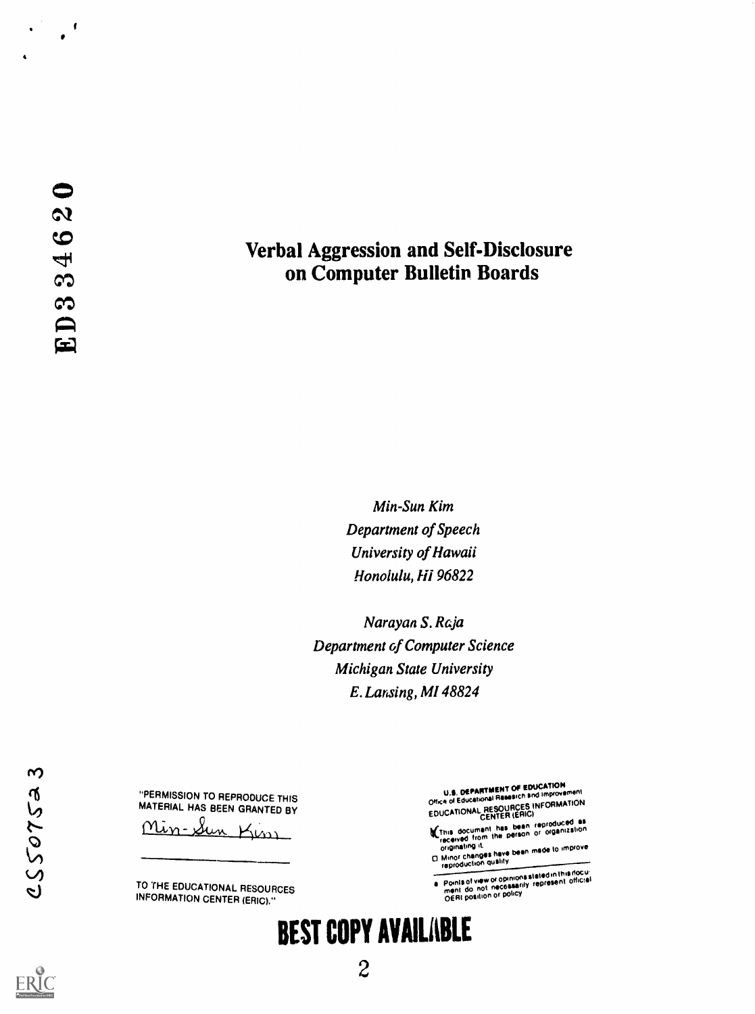$\sqrt{2}$  $\bullet$ 

# Verbal Aggression and Self-Disclosure on Computer Bulletin Boards

Min-Sun Kim Department of Speech University of Hawaii Honolulu, Hi 96822

Narayan S. Raja Department of Computer Science Michigan State University E. Lansing, MI 48824

"PERMISSION TO REPRODUCE THIS MATERIAL HAS BEEN GRANTED BY

Min-

TO THE EDUCATIONAL RESOURCES INFORMATION CENTER (ERIC)."

U.S. DEPARTMENT OF EUDOCATION<br>Office of Educational Research and improvement EDUCATIONAL RESOURCES INFORMATION

This document has been reproduced as<br>received from the person or organization

originating it originative to the bean made to improve<br>C Minor changes have bean made to improve<br>reproduction quality

Points of view or opinions stated in this riocu:<br>ment do not necossarily represent official<br>OERI position or policy

# BEST COPY AVAILABLE

 $\boldsymbol{\varsigma}$ 

CS50752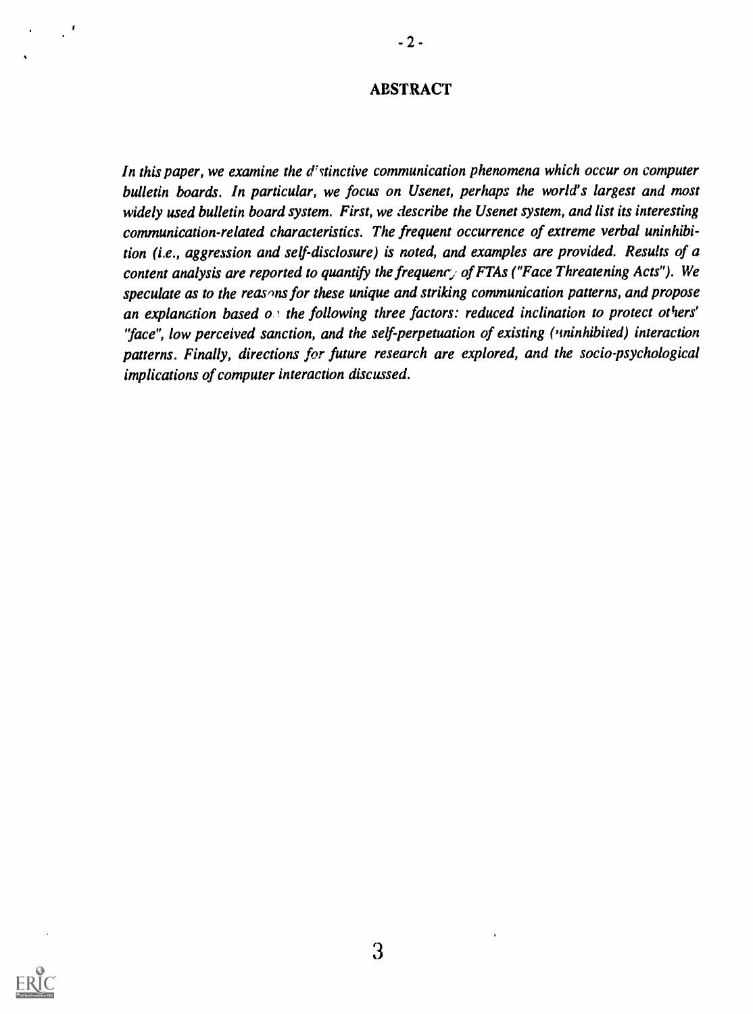## ABSTRACT

In this paper, we examine the  $d^{\dagger}$  stinctive communication phenomena which occur on computer bulletin boards. In particular, we focus on Usenet, perhaps the world's largest and most widely used bulletin board system. First, we describe the Usenet system, and list its interesting communication-related characteristics. The frequent occurrence of extreme verbal uninhibition (i.e., aggression and self-disclosure) is noted, and examples are provided. Results of a content analysis are reported to quantify the frequency of FTAs ("Face Threatening Acts"). We speculate as to the reas ns for these unique and striking communication patterns, and propose an explanation based  $o$  the following three factors: reduced inclination to protect others' 'face", low perceived sanction, and the self-perpetuation of existing ('ninhibired) interaction patterns. Finally, directions for future research are explored, and the socio-psychological implications of computer interaction discussed.

3

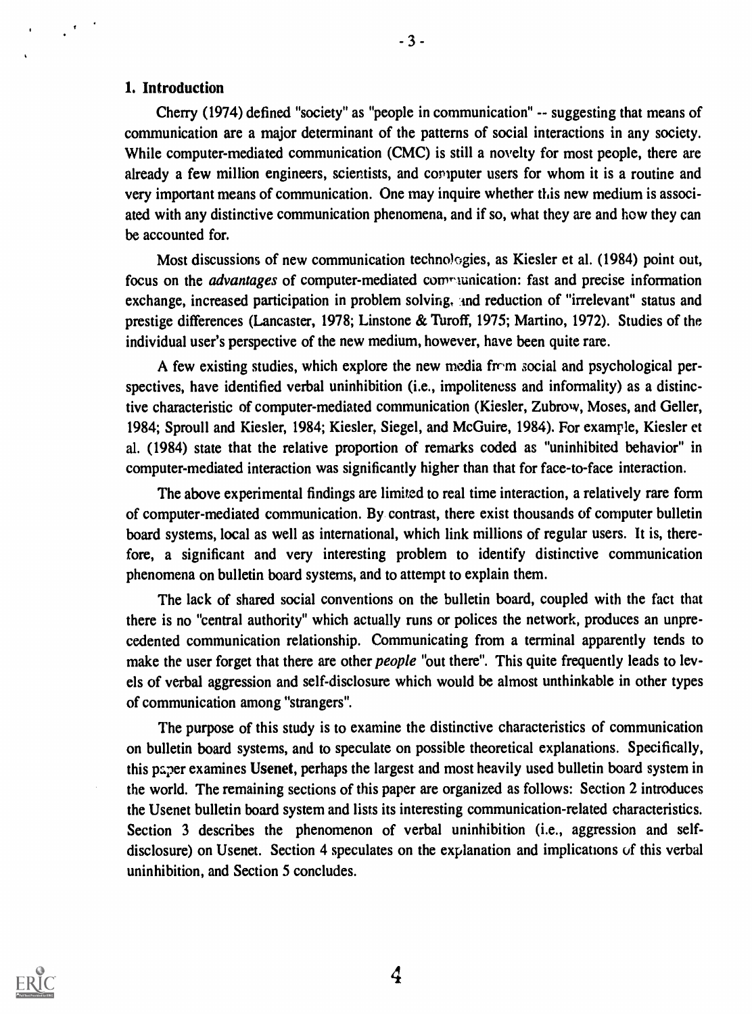#### 1. Introduction

 $\frac{1}{2}$  ,  $\frac{1}{2}$ 

Cherry (1974) defined "society" as "people in communication" -- suggesting that means of communication are a major determinant of the patterns of social interactions in any society. While computer-mediated communication (CMC) is still a novelty for most people, there are already a few million engineers, scientists, and computer users for whom it is a routine and very important means of communication. One may inquire whether this new medium is associated with any distinctive communication phenomena, and if so, what they are and how they can be accounted for.

Most discussions of new communication technologies, as Kiesler et al. (1984) point out, focus on the *advantages* of computer-mediated communication: fast and precise information exchange, increased participation in problem solving, and reduction of "irrelevant" status and prestige differences (Lancaster, 1978; Linstone & Turoff, 1975; Martino, 1972). Studies of the individual user's perspective of the new medium, however, have been quite rare.

A few existing studies, which explore the new media from social and psychological perspectives, have identified verbal uninhibition (i.e., impoliteness and informality) as a distinctive characteristic of computer-mediated communication (Kiesler, Zubrow, Moses, and Geller, 1984; Sproull and Kiesler, 1984; Kiesler, Siegel, and McGuire, 1984). For example, Kiesler et al. (1984) state that the relative proportion of remarks coded as "uninhibited behavior" in computer-mediated interaction was significantly higher than that for face-to-face interaction.

The above experimental findings are limited to real time interaction, a relatively rare form of computer-mediated communication. By contrast, there exist thousands of computer bulletin board systems, local as well as international, which link millions of regular users. It is, therefore, a significant and very interesting problem to identify distinctive communication phenomena on bulletin board systems, and to attempt to explain them.

The lack of shared social conventions on the bulletin board, coupled with the fact that there is no "central authority" which actually runs or polices the network, produces an unprecedented communication relationship. Communicating from a terminal apparently tends to make the user forget that there are other *people* "out there". This quite frequently leads to levels of verbal aggression and self-disclosure which would be almost unthinkable in other types of communication among "strangers".

The purpose of this study is to examine the distinctive characteristics of communication on bulletin board systems, and to speculate on possible theoretical explanations. Specifically, this paper examines Usenet, perhaps the largest and most heavily used bulletin board system in the world. The remaining sections of this paper are organized as follows: Section 2 introduces the Usenet bulletin board system and lists its interesting communication-related characteristics. Section 3 describes the phenomenon of verbal uninhibition (i.e., aggression and selfdisclosure) on Usenet. Section 4 speculates on the explanation and implications of this verbal uninhibition, and Section 5 concludes.

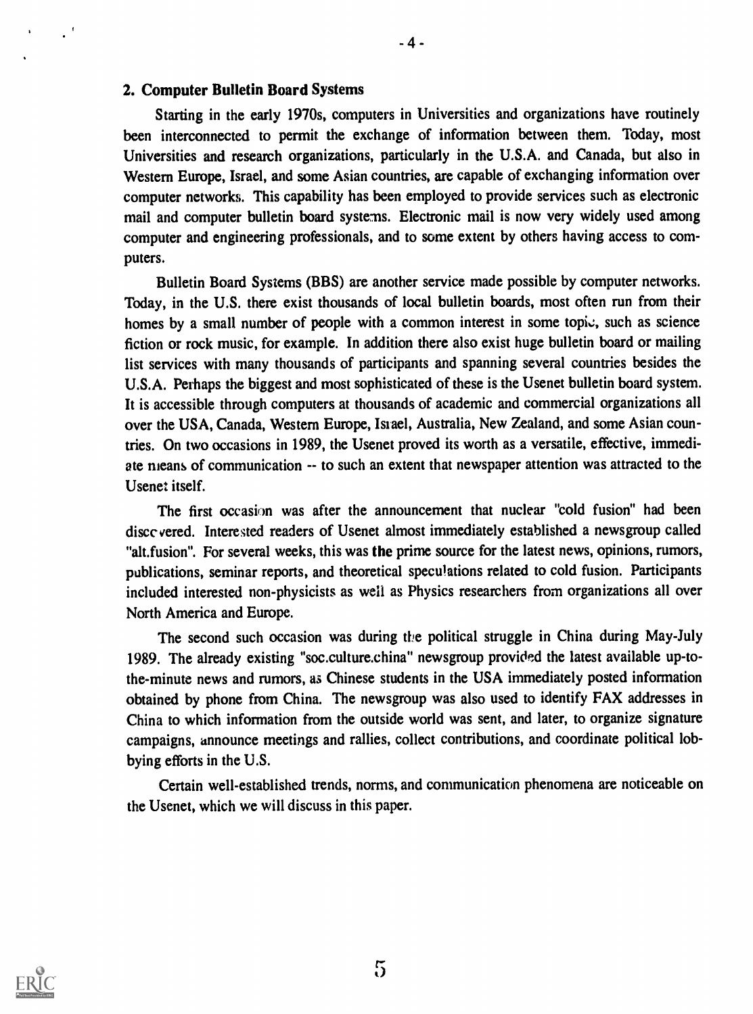#### 2. Computer Bulletin Board Systems

 $\mathbb{Z}^3$ 

Starting in the early 1970s, computers in Universities and organizations have routinely been interconnected to permit the exchange of information between them. Today, most Universities and research organizations, particularly in the U.S.A. and Canada, but also in Western Europe, Israel, and some Asian countries, are capable of exchanging information over computer networks. This capability has been employed to provide services such as electronic mail and computer bulletin board systems. Electronic mail is now very widely used among computer and engineering professionals, and to some extent by others having access to computers.

Bulletin Board Systems (BBS) are another service made possible by computer networks. Today, in the U.S. there exist thousands of local bulletin boards, most often run from their homes by a small number of people with a common interest in some topic, such as science fiction or rock music, for example. In addition there also exist huge bulletin board or mailing list services with many thousands of participants and spanning several countries besides the U.S.A. Perhaps the biggest and most sophisticated of these is the Usenet bulletin board system. It is accessible through computers at thousands of academic and commercial organizations all over the USA, Canada, Western Europe, Istael, Australia, New Zealand, and some Asian countries. On two occasions in 1989, the Usenet proved its worth as a versatile, effective, immediate means of communication -- to such an extent that newspaper attention was attracted to the Usenet itself.

The first occasion was after the announcement that nuclear "cold fusion" had been discc vered. Interested readers of Usenet almost immediately established a newsgroup called "alt.fusion". For several weeks, this was the prime source for the latest news, opinions, rumors, publications, seminar reports, and theoretical speculations related to cold fusion. Participants included interested non-physicists as well as Physics researchers from organizations all over North America and Europe.

The second such occasion was during the political struggle in China during May-July 1989. The already existing "soc.culture.china" newsgroup provided the latest available up-tothe-minute news and rumors, as Chinese students in the USA immediately posted information obtained by phone from China. The newsgroup was also used to identify FAX addresses in China to which information from the outside world was sent, and later, to organize signature campaigns, announce meetings and rallies, collect contributions, and coordinate political lobbying efforts in the U.S.

Certain well-established trends, norms, and communication phenomena are noticeable on the Usenet, which we will discuss in this paper.

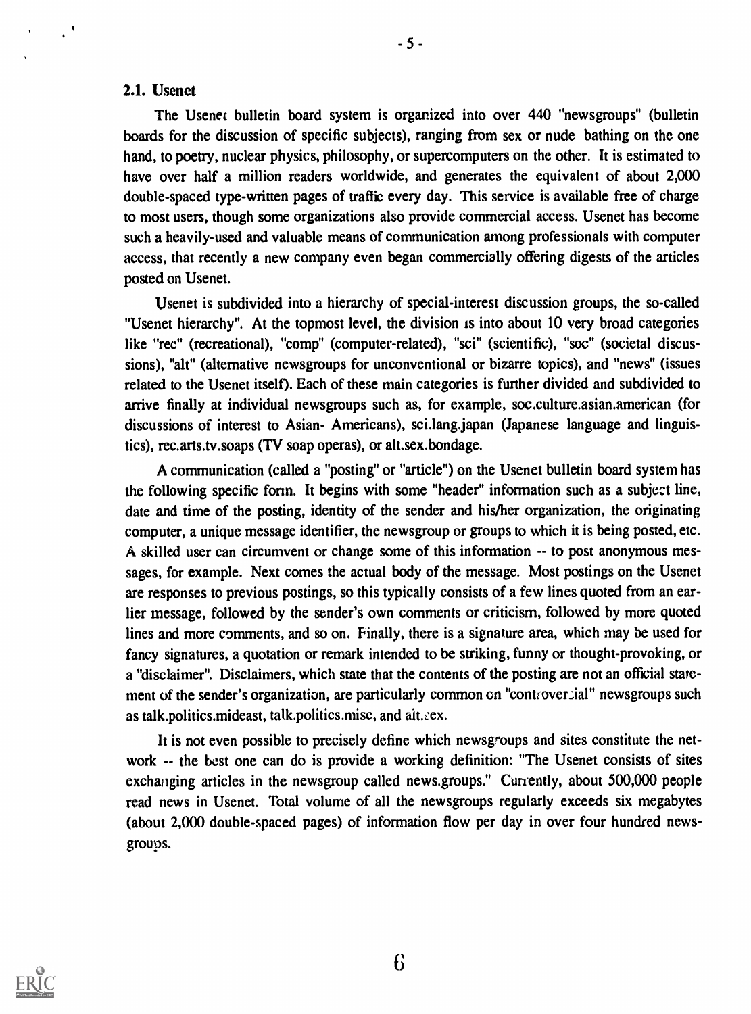#### 2.1. Usenet

 $\mathcal{C}^{\mathcal{A}}$ 

The Usenet bulletin board system is organized into over 440 "newsgroups" (bulletin boards for the discussion of specific subjects), ranging from sex or nude bathing on the one hand, to poetry, nuclear physics, philosophy, or supercomputers on the other. It is estimated to have over half a million readers worldwide, and generates the equivalent of about 2,000 double-spaced type-written pages of traffic every day. This service is available free of charge to most users, though some organizations also provide commercial access. Usenet has become such a heavily-used and valuable means of communication among professionals with computer access, that recently a new company even began commercially offering digests of the articles posted on Usenet.

Usenet is subdivided into a hierarchy of special-interest discussion groups, the so-called "Usenet hierarchy". At the topmost level, the division is into about 10 very broad categories like "rec" (recreational), "comp" (computer-related), "sci" (scientific), "soc" (societal discussions), "alt" (alternative newsgroups for unconventional or bizarre topics), and "news" (issues related to the Usenet itself). Each of these main categories is further divided and subdivided to arrive finally at individual newsgroups such as, for example, soc.culture.asian.american (for discussions of interest to Asian- Americans), sci.lang.japan (Japanese language and linguistics), rec.arts.tv.soaps (TV soap operas), or alt.sex.bondage.

A communication (called a "posting" or "article") on the Usenet bulletin board system has the following specific form. It begins with some "header" information such as a subject line, date and time of the posting, identity of the sender and higher organization, the originating computer, a unique message identifier, the newsgroup or groups to which it is being posted, etc. A skilled user can circumvent or change some of this information -- to post anonymous messages, for example. Next comes the actual body of the message. Most postings on the Usenet are responses to previous postings, so this typically consists of a few lines quoted from an earlier message, followed by the sender's own comments or criticism, followed by more quoted lines and more comments, and so on. Finally, there is a signature area, which may be used for fancy signatures, a quotation or remark intended to be striking, funny or thought-provoking, or a "disclaimer". Disclaimers, which state that the contents of the posting are not an official statement of the sender's organization, are particularly common on "controver cial" newsgroups such as talk.politics.mideast, talk.politics.misc, and alt.sex.

It is not even possible to precisely define which newsgroups and sites constitute the network -- the best one can do is provide a working definition: "The Usenet consists of sites exchanging articles in the newsgroup called news.groups." Currently, about 500,000 people read news in Usenet. Total volume of all the newsgroups regularly exceeds six megabytes (about 2,000 double-spaced pages) of information flow per day in over four hundred newsgroups.



 $-5-$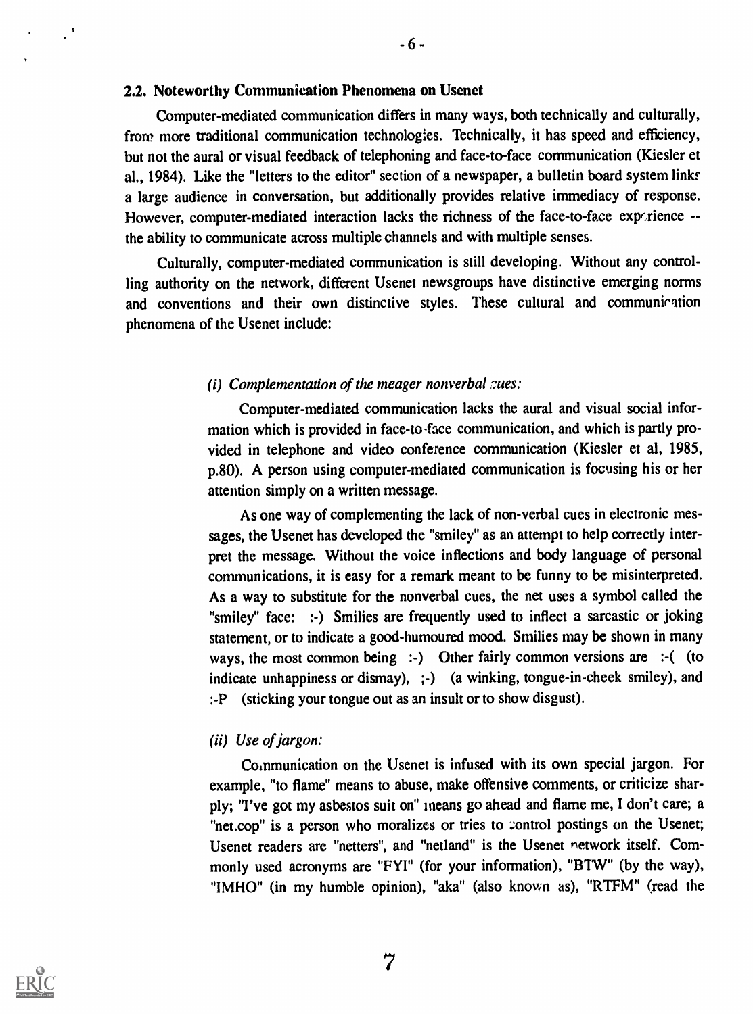#### 2.2. Noteworthy Communication Phenomena on Usenet

Computer-mediated communication differs in many ways, both technically and culturally, from more traditional communication technologies. Technically, it has speed and efficiency, but not the aural or visual feedback of telephoning and face-to-face communication (Kiesler et al., 1984). Like the "letters to the editor" section of a newspaper, a bulletin board system links a large audience in conversation, but additionally provides relative immediacy of response. However, computer-mediated interaction lacks the richness of the face-to-face exportience -the ability to communicate across multiple channels and with multiple senses.

 $-6-$ 

Culturally, computer-mediated communication is still developing. Without any controlling authority on the network, different Usenet newsgroups have distinctive emerging norms and conventions and their own distinctive styles. These cultural and communiration phenomena of the Usenet include:

#### (i) Complementation of the meager nonverbal sues:

Computer-mediated communication lacks the aural and visual social information which is provided in face-to-face communication, and which is partly provided in telephone and video conference communication (Kiesler et al, 1985, p.80). A person using computer-mediated communication is focusing his or her attention simply on a written message.

As one way of complementing the lack of non-verbal cues in electronic messages, the Usenet has developed the "smiley" as an attempt to help correctly interpret the message. Without the voice inflections and body language of personal communications, it is easy for a remark meant to be funny to be misinterpreted. As a way to substitute for the nonverbal cues, the net uses a symbol called the "smiley" face: :-) Smilies are frequently used to inflect a sarcastic or joking statement, or to indicate a good-humoured mood. Smilies may be shown in many ways, the most common being :-) Other fairly common versions are :-( (to indicate unhappiness or dismay), ;-) (a winking, tongue-in-cheek smiley), and :-P (sticking your tongue out as an insult or to show disgust).

# (ii) Use of jargon:

Communication on the Usenet is infused with its own special jargon. For example, "to flame" means to abuse, make offensive comments, or criticize sharply; "I've got my asbestos suit on" means go ahead and flame me, I don't care; a "net.cop" is a person who moralizes or tries to control postings on the Usenet; Usenet readers are "netters", and "netland" is the Usenet network itself. Commonly used acronyms are "FYI" (for your information), "BTW" (by the way), "IMHO" (in my humble opinion), "aka" (also known as), "RTFM" (read the

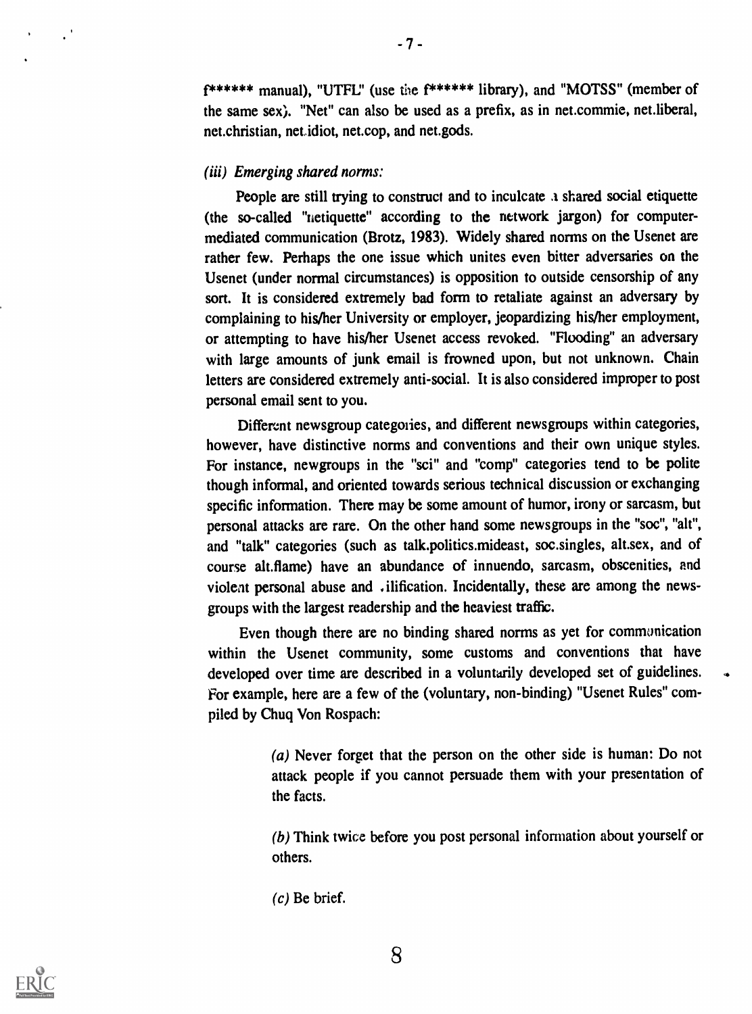f\*\*\*\*\*\* manual), "UTFL:' (use the f\*\*\*\*\*\* library), and "MOTSS" (member of the same sex). "Net" can also be used as a prefix, as in net.commie, net.liberal, net.christian, net.idiot, net.cop, and net.gods.

## (iii) Emerging shared norms:

People are still trying to construct and to inculcate a shared social etiquette (the so-called "netiquette" according to the network jargon) for computermediated communication (Brotz, 1983). Widely shared norms on the Usenet are rather few. Perhaps the one issue which unites even bitter adversaries on the Usenet (under normal circumstances) is opposition to outside censorship of any sort. It is considered extremely bad form to retaliate against an adversary by complaining to his/her University or employer, jeopardizing his/her employment, or attempting to have his/her Usenet access revoked. "Flooding" an adversary with large amounts of junk email is frowned upon, but not unknown. Chain letters are considered extremely anti-social. It is also considered improper to post personal email sent to you.

Different newsgroup categories, and different newsgroups within categories, however, have distinctive norms and conventions and their own unique styles. For instance, newgroups in the "sci" and "comp" categories tend to be polite though informal, and oriented towards serious technical discussion or exchanging specific information. There may be some amount of humor, irony or sarcasm, but personal attacks are rare. On the other hand some newsgroups in the "soc", "alt", and "talk" categories (such as talk.politics.mideast, soc.singles, alt.sex, and of course alt.flame) have an abundance of innuendo, sarcasm, obscenities, and violent personal abuse and vilification. Incidentally, these are among the newsgroups with the largest readership and the heaviest traffic.

Even though there are no binding shared norms as yet for communication within the Usenet community, some customs and conventions that have developed over time are described in a voluntarily developed set of guidelines. For example, here are a few of the (voluntary, non-binding) "Usenet Rules" compiled by Chug Von Rospach:

> (a) Never forget that the person on the other side is human: Do not attack people if you cannot persuade them with your presentation of the facts.

> (b) Think twice before you post personal information about yourself or others.

(c) Be brief.

8

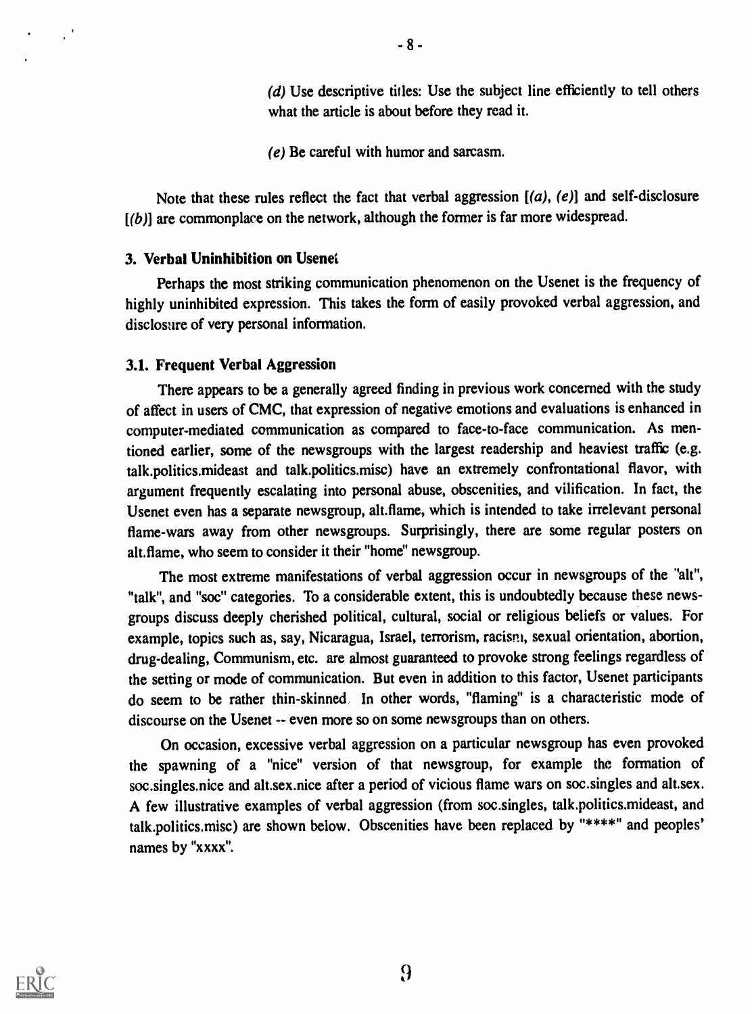(d) Use descriptive titles: Use the subject line efficiently to tell others what the article is about before they read it.

(e) Be careful with humor and sarcasm.

Note that these rules reflect the fact that verbal aggression  $[(a), (e)]$  and self-disclosure  $[(b)]$  are commonplace on the network, although the former is far more widespread.

#### 3. Verbal Uninhibition on Usenet

Perhaps the most striking communication phenomenon on the Usenet is the frequency of highly uninhibited expression. This takes the form of easily provoked verbal aggression, and disclosure of very personal information.

#### 3.1. Frequent Verbal Aggression

There appears to be a generally agreed finding in previous work concerned with the study of affect in users of CMC, that expression of negative emotions and evaluations is enhanced in computer-mediated communication as compared to face-to-face communication. As mentioned earlier, some of the newsgroups with the largest readership and heaviest traffic (e.g. talk.politics.mideast and talk.politics.misc) have an extremely confrontational flavor, with argument frequently escalating into personal abuse, obscenities, and vilification. In fact, the Usenet even has a separate newsgroup, alt.flame, which is intended to take irrelevant personal flame-wars away from other newsgroups. Surprisingly, there are some regular posters on alt.flame, who seem to consider it their "home" newsgroup.

The most extreme manifestations of verbal aggression occur in newsgroups of the "alt", "talk", and "soc" categories. To a considerable extent, this is undoubtedly because these newsgroups discuss deeply cherished political, cultural, social or religious beliefs or values. For example, topics such as, say, Nicaragua, Israel, terrorism, racism, sexual orientation, abortion, drug-dealing, Communism, etc. are almost guaranteed to provoke strong feelings regardless of the setting or mode of communication. But even in addition to this factor, Usenet participants do seem to be rather thin-skinned. In other words, "flaming" is a characteristic mode of discourse on the Usenet -- even more so on some newsgroups than on others.

On occasion, excessive verbal aggression on a particular newsgroup has even provoked the spawning of a "nice" version of that newsgroup, for example the formation of soc.singles.nice and alt.sex.nice after a period of vicious flame wars on soc.singles and alt.sex. A few illustrative examples of verbal aggression (from soc.singles, talk.politics.mideast, and talk.politics.misc) are shown below. Obscenities have been replaced by "\*\*\*\*" and peoples' names by "xxxx".

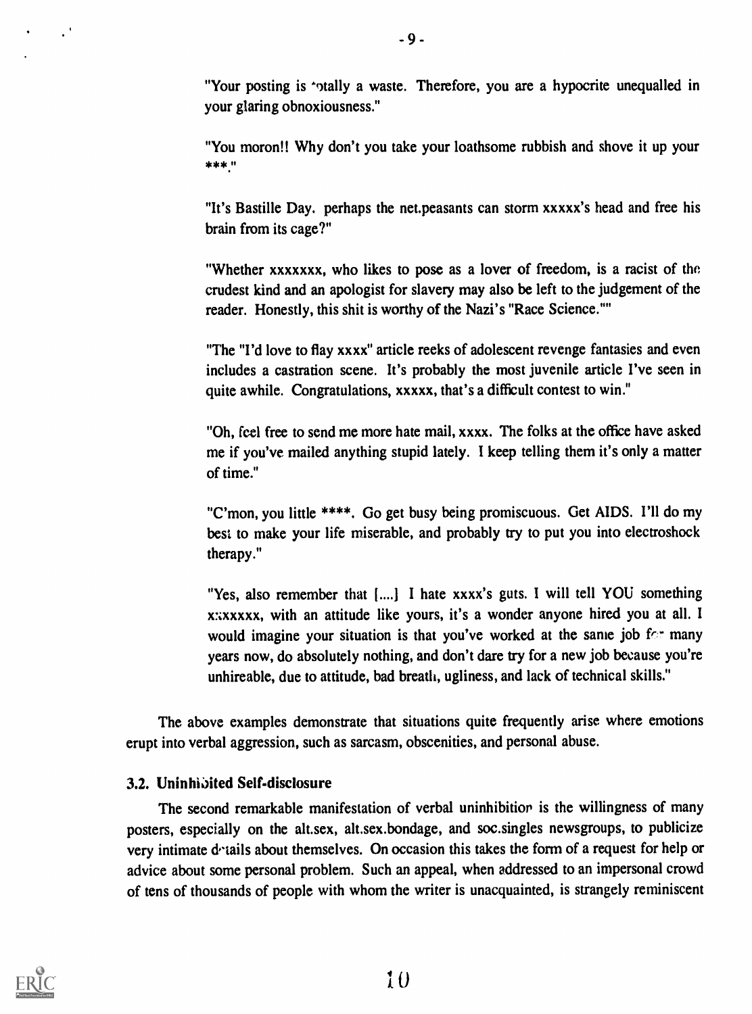"Your posting is 'otally a waste. Therefore, you are a hypocrite unequalled in your glaring obnoxiousness."

"You moron!! Why don't you take your loathsome rubbish and shove it up your \*\*\*:,

"It's Bastille Day. perhaps the net.peasants can storm xxxxx's head and free his brain from its cage?"

"Whether xxxxxxx, who likes to pose as a lover of freedom, is a racist of the crudest kind and an apologist for slavery may also be left to the judgement of the reader. Honestly, this shit is worthy of the Nazi's "Race Science."

"The "I'd love to flay xxxx" article reeks of adolescent revenge fantasies and even includes a castration scene. It's probably the most juvenile article I've seen in quite awhile. Congratulations, xxxxx, that's a difficult contest to win."

"Oh, feel free to send me more hate mail, xxxx. The folks at the office have asked me if you've mailed anything stupid lately. I keep telling them it's only a matter of time."

"C'mon, you little \*\*\*\*. Go get busy being promiscuous. Get AIDS. I'll do my best to make your life miserable, and probably try to put you into electroshock therapy."

"Yes, also remember that [....] I hate xxxx's guts. I will tell YOU something x:ixxxxx, with an attitude like yours, it's a wonder anyone hired you at all. I would imagine your situation is that you've worked at the same job  $f \circ r$  many years now, do absolutely nothing, and don't dare try for a new job because you're unhireable, due to attitude, bad breath, ugliness, and lack of technical skills."

The above examples demonstrate that situations quite frequently arise where emotions erupt into verbal aggression, such as sarcasm, obscenities, and personal abuse.

# 3.2. Uninhibited Self-disclosure

The second remarkable manifestation of verbal uninhibitior is the willingness of many posters, especially on the alt.sex, alt.sex.bondage, and soc.singles newsgroups, to publicize very intimate details about themselves. On occasion this takes the form of a request for help or advice about some personal problem. Such an appeal, when addressed to an impersonal crowd of tens of thousands of people with whom the writer is unacquainted, is strangely reminiscent



 $\cdot$ <sup>1</sup>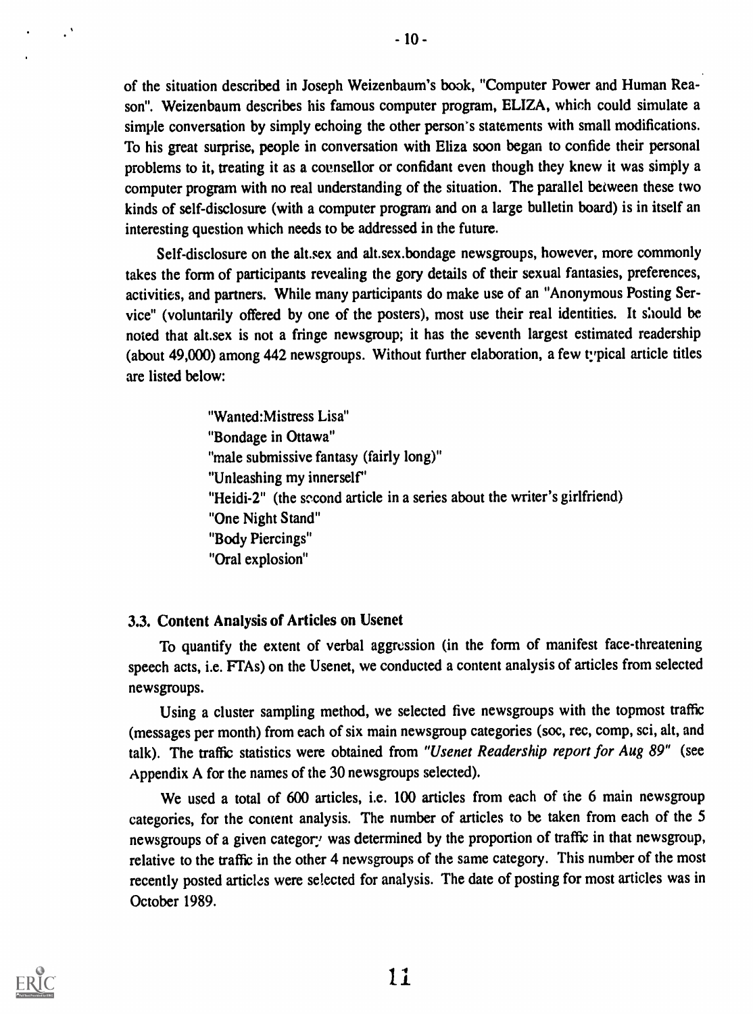of the situation described in Joseph Weizenbaum's book, "Computer Power and Human Reason". Weizenbaum describes his famous computer program, ELIZA, which could simulate a simple conversation by simply echoing the other person's statements with small modifications. To his great surprise, people in conversation with Eliza soon began to confide their personal problems to it, treating it as a coensellor or confidant even though they knew it was simply a computer program with no real understanding of the situation. The parallel between these two kinds of self-disclosure (with a computer program and on a large bulletin board) is in itself an interesting question which needs to be addressed in the future.

Self-disclosure on the alt.sex and alt.sex.bondage newsgroups, however, more commonly takes the form of participants revealing the gory details of their sexual fantasies, preferences, activities, and partners. While many participants do make use of an "Anonymous Posting Service" (voluntarily offered by one of the posters), most use their real identities. It s'aould be noted that alt.sex is not a fringe newsgroup; it has the seventh largest estimated readership (about 49,000) among 442 newsgroups. Without further elaboration, a few typical article titles are listed below:

> "Wanted:Mistress Lisa" "Bondage in Ottawa" "male submissive fantasy (fairly long)" "Unleashing my innerself" "Heidi-2" (the second article in a series about the writer's girlfriend) "One Night Stand" "Body Piercings" "Oral explosion"

# 3.3. Content Analysis of Articles on Usenet

To quantify the extent of verbal aggression (in the form of manifest face-threatening speech acts, i.e. FTAs) on the Usenet, we conducted a content analysis of articles from selected newsgroups.

Using a cluster sampling method, we selected five newsgroups with the topmost traffic (messages per month) from each of six main newsgroup categories (soc, rec, comp, sci, alt, and talk). The traffic statistics were obtained from "Usenet Readership report for Aug 89" (see Appendix A for the names of the 30 newsgroups selected).

We used a total of 600 articles, i.e. 100 articles from each of the 6 main newsgroup categories, for the content analysis. The number of articles to be taken from each of the 5 newsgroups of a given category was determined by the proportion of traffic in that newsgroup, relative to the traffic in the other 4 newsgroups of the same category. This number of the most recently posted articles were selected for analysis. The date of posting for most articles was in October 1989.



 $\cdot$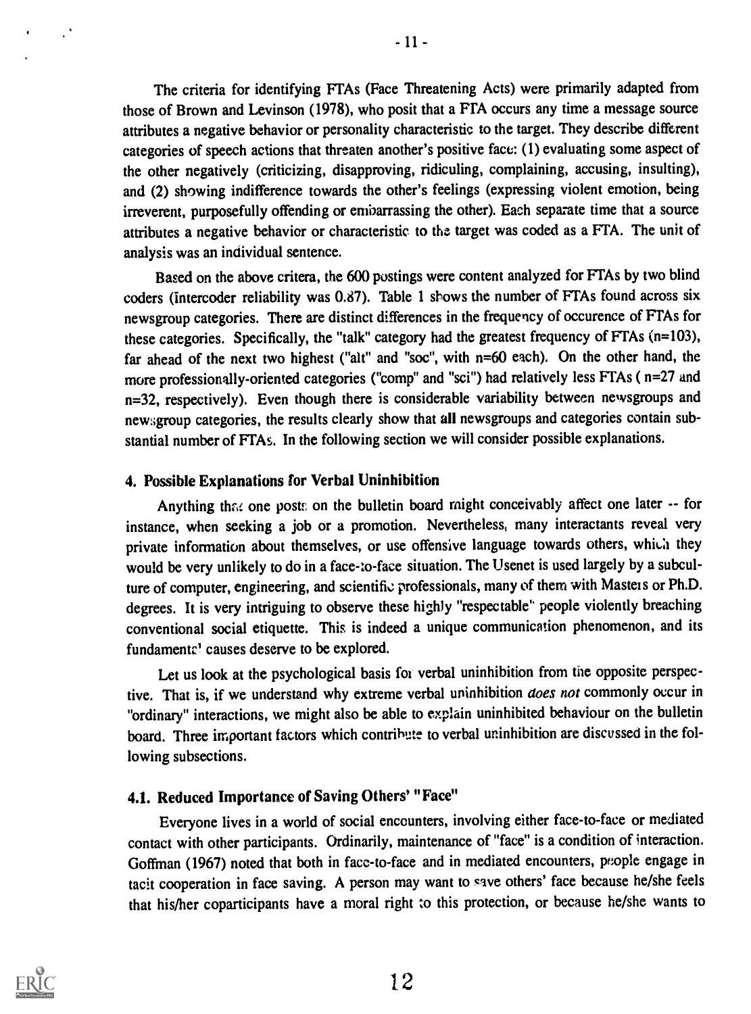The criteria for identifying FTAs (Face Threatening Acts) were primarily adapted from those of Brown and Levinson (1978), who posit that a FTA occurs any time a message source attributes a negative behavior or personality characteristic to the target. They describe different categories of speech actions that threaten another's positive face: (1) evaluating some aspect of the other negatively (criticizing, disapproving, ridiculing, complaining, accusing, insulting), and (2) showing indifference towards the other's feelings (expressing violent emotion, being irreverent, purposefully offending or embarrassing the other). Each separate time that a source attributes a negative behavior or characteristic to the target was coded as a FTA. The unit of analysis was an individual sentence.

Based on the above critera, the 600 postings were content analyzed for FTAs by two blind coders (Intercoder reliability was  $0.87$ ). Table 1 shows the number of FTAs found across six newsgroup categories. There are distinct differences in the frequency of occurence of PTAs for these categories. Specifically, the "talk" category had the greatest frequency of FTAs (n=103), far ahead of the next two highest ("alt" and "soc", with n=60 each). On the other hand, the more professionally-oriented categories ("comp" and "sci") had relatively less FTAs ( n=27 and n=32, respectively). Even though there is considerable variability between newsgroups and newsgroup categories, the results clearly show that all newsgroups and categories contain substantial number of FTAs. In the following section we will consider possible explanations.

# 4. Possible Explanations for Verbal Uninhibition

Anything that one posts on the bulletin board might conceivably affect one later -- for instance, when seeking a job or a promotion. Nevertheless, many interactants reveal very private information about themselves, or use offensive language towards others, which they would be very unlikely to do in a face-to-face situation. The Usenet is used largely by a subculture of computer, engineering, and scientific professionals, many of them with Masteis or Ph.D. degrees. It is very intriguing to observe these highly "respectable' people violently breaching conventional social etiquette. This is indeed a unique communication phenomenon, and its fundamentc' causes deserve to be explored.

Let us look at the psychological basis for verbal uninhibition from the opposite perspective. That is, if we understand why extreme verbal uninhibition does not commonly occur in "ordinary" interactions, we might also be able to explain uninhibited behaviour on the bulletin board. Three important factors which contribute to verbal uninhibition are discussed in the following subsections.

# 4.1. Reduced Importance of Saving Others' "Face"

Everyone lives in a world of social encounters, involving either face-to-face or mediated contact with other participants. Ordinarily, maintenance of "face" is a condition of interaction. Goffman (1967) noted that both in face-to-face and in mediated encounters, people engage in tacit cooperation in face saving. A person may want to save others' face because he/she feels that his/her coparticipants have a moral right to this protection, or because he/she wants to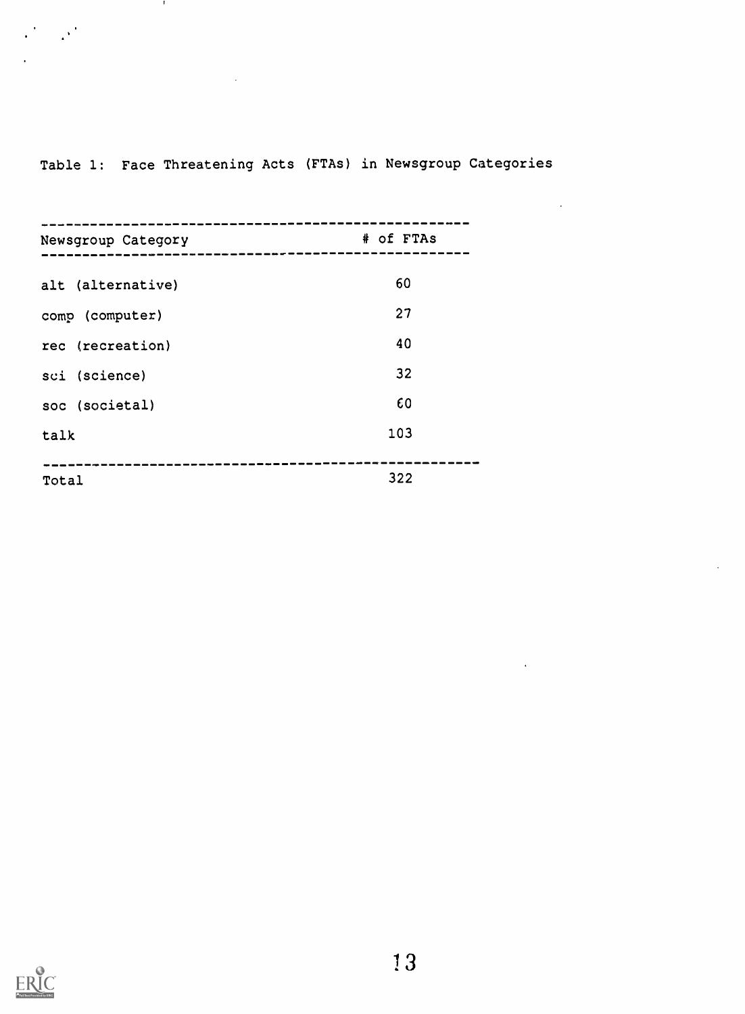# Table 1: Face Threatening Acts (FTAs) in Newsgroup Categories

 $\sim 10^{-11}$ 

 $\sim$   $\sim$ 

 $\sim 10^6$ 

**COM** 

 $\mathcal{L}^{\text{R}}=\mathcal{L}^{\text{R}}$ 

| Newsgroup Category | # of FTAs |
|--------------------|-----------|
|                    |           |
| alt (alternative)  | 60        |
| comp (computer)    | 27        |
| rec (recreation)   | 40        |
| sci (science)      | 32        |
| soc (societal)     | 60        |
| talk               | 103       |
|                    |           |
| Total              | 322       |

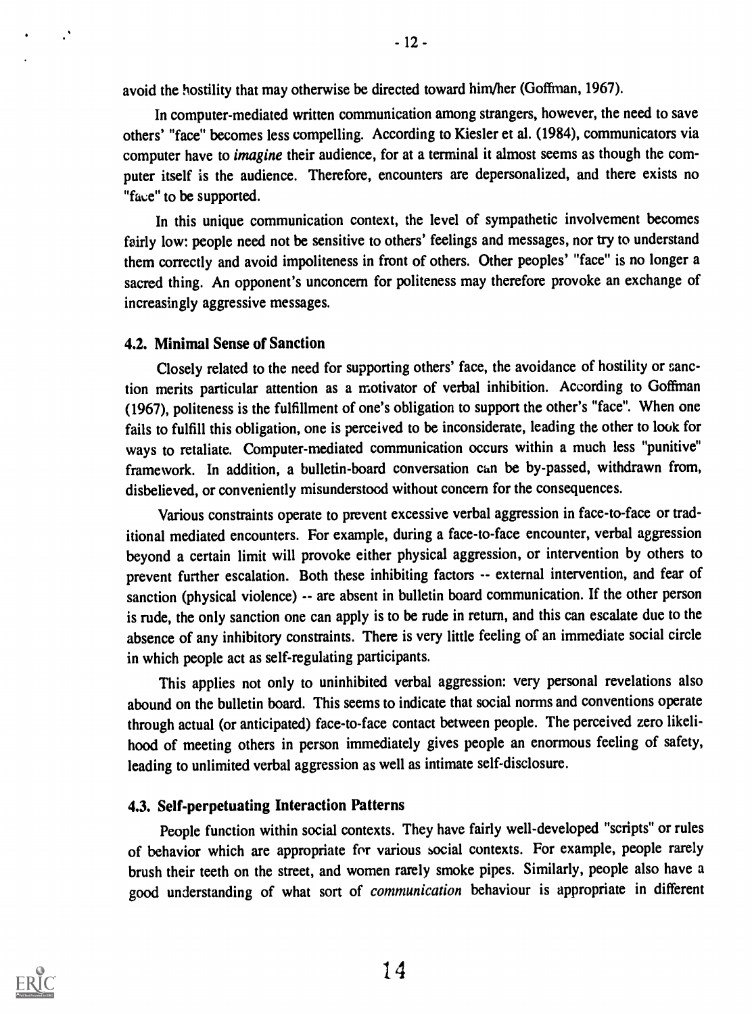avoid the hostility that may otherwise be directed toward him/her (Goffinan, 1967).

In computer-mediated written communication among strangers, however, the need to save others' "face" becomes less compelling. According to Kiesler et al. (1984), communicators via computer have to *imagine* their audience, for at a terminal it almost seems as though the computer itself is the audience. Therefore, encounters are depersonalized, and there exists no "face" to be supported.

In this unique communication context, the level of sympathetic involvement becomes fairly low: people need not be sensitive to others' feelings and messages, nor try to understand them correctly and avoid impoliteness in front of others. Other peoples' "face" is no longer a sacred thing. An opponent's unconcern for politeness may therefore provoke an exchange of increasingly aggressive messages.

# 4.2. Minimal Sense of Sanction

Closely related to the need for supporting others' face, the avoidance of hostility or sanction merits particular attention as a motivator of verbal inhibition. According to Goffman (1967), politeness is the fulfillment of one's obligation to support the other's "face". When one fails to fulfill this obligation, one is perceived to be inconsiderate, leading the other to look for ways to retaliate. Computer-mediated communication occurs within a much less "punitive" framework. ln addition, a bulletin-board conversation cam be by-passed, withdrawn from, disbelieved, or conveniently misunderstood without concern for the consequences.

Various constraints operate to prevent excessive verbal aggression in face-to-face or traditional mediated encounters. For example, during a face-to-face encounter, verbal aggression beyond a certain limit will provoke either physical aggression, or intervention by others to prevent further escalation. Both these inhibiting factors -- external intervention, and fear of sanction (physical violence) -- are absent in bulletin board communication. If the other person is rude, the only sanction one can apply is to be rude in return, and this can escalate due to the absence of any inhibitory constraints. There is very little feeling of an immediate social circle in which people act as self-regulating participants.

This applies not only to uninhibited verbal aggression: very personal revelations also abound on the bulletin board. This seems to indicate that social norms and conventions operate through actual (or anticipated) face-to-face contact between people. The perceived zero likelihood of meeting others in person immediately gives people an enormous feeling of safety, leading to unlimited verbal aggression as well as intimate self-disclosure.

# 4.3. Self-perpetuating Interaction Patterns

People function within social contexts. They have fairly well-developed "scripts" or rules of behavior which are appropriate for various social contexts. For example, people rarely brush their teeth on the street, and women rarely smoke pipes. Similarly, people also have a good understanding of what sort of communication behaviour is appropriate in different



 $\cdot$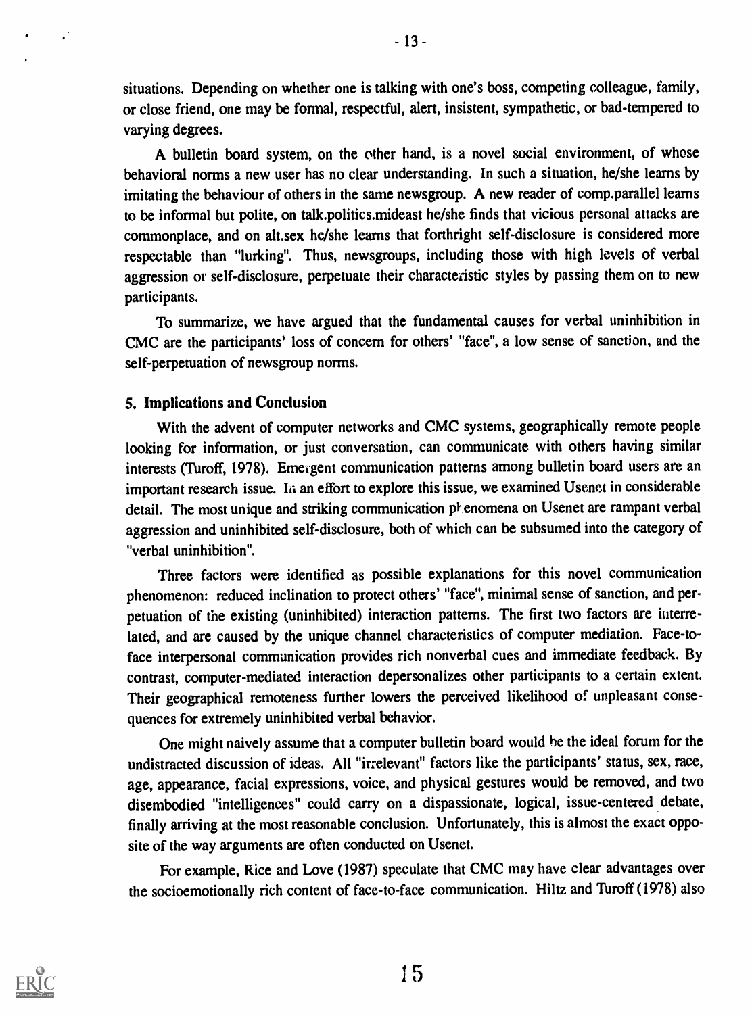situations. Depending on whether one is talking with one's boss, competing colleague, family, or close friend, one may be formal, respectful, alert, insistent, sympathetic, or bad-tempered to varying degrees.

A bulletin board system, on the ether hand, is a novel social environment, of whose behavioral norms a new user has no clear understanding. In such a situation, he/she learns by imitating the behaviour of others in the same newsgroup. A new reader of comp.parallel learns to be informal but polite, on talk.politics.mideast he/she finds that vicious personal attacks are commonplace, and on alt.sex he/she learns that forthright self-disclosure is considered more respectable than "lurking". Thus, newsgroups, including those with high levels of verbal aggression or self-disclosure, perpetuate their characteristic styles by passing them on to new participants.

To summarize, we have argued that the fundamental causes for verbal uninhibition in CMC are the participants' loss of concern for others' "face", a low sense of sanction, and the self-perpetuation of newsgroup norms.

# 5. Implications and Conclusion

With the advent of computer networks and CMC systems, geographically remote people looking for information, or just conversation, can communicate with others having similar interests (Turoff, 1978). Emergent communication patterns among bulletin board users are an important research issue. In an effort to explore this issue, we examined Usenet in considerable detail. The most unique and striking communication phenomena on Usenet are rampant verbal aggression and uninhibited self-disclosure, both of which can be subsumed into the category of "verbal uninhibition".

Three factors were identified as possible explanations for this novel communication phenomenon: reduced inclination to protect others' "face", minimal sense of sanction, and perpetuation of the existing (uninhibited) interaction patterns. The first two factors are iuterrelated, and are caused by the unique channel characteristics of computer mediation. Face-toface interpersonal communication provides rich nonverbal cues and immediate feedback. By contrast, computer-mediated interaction depersonalizes other participants to a certain extent. Their geographical remoteness further lowers the perceived likelihood of unpleasant consequences for extremely uninhibited verbal behavior.

One might naively assume that a computer bulletin board would he the ideal forum for the undistracted discussion of ideas. All "irrelevant" factors like the participants' status, sex, race, age, appearance, facial expressions, voice, and physical gestures would be removed, and two disembodied "intelligences" could carry on a dispassionate, logical, issue-centered debate, finally arriving at the most reasonable conclusion. Unfortunately, this is almost the exact opposite of the way arguments are often conducted on Usenet.

For example, Rice and Love (1987) speculate that CMC may have clear advantages over the socioemotionally rich content of face-to-face communication. Hiltz and Turoff (1978) also



 $\mathcal{C}$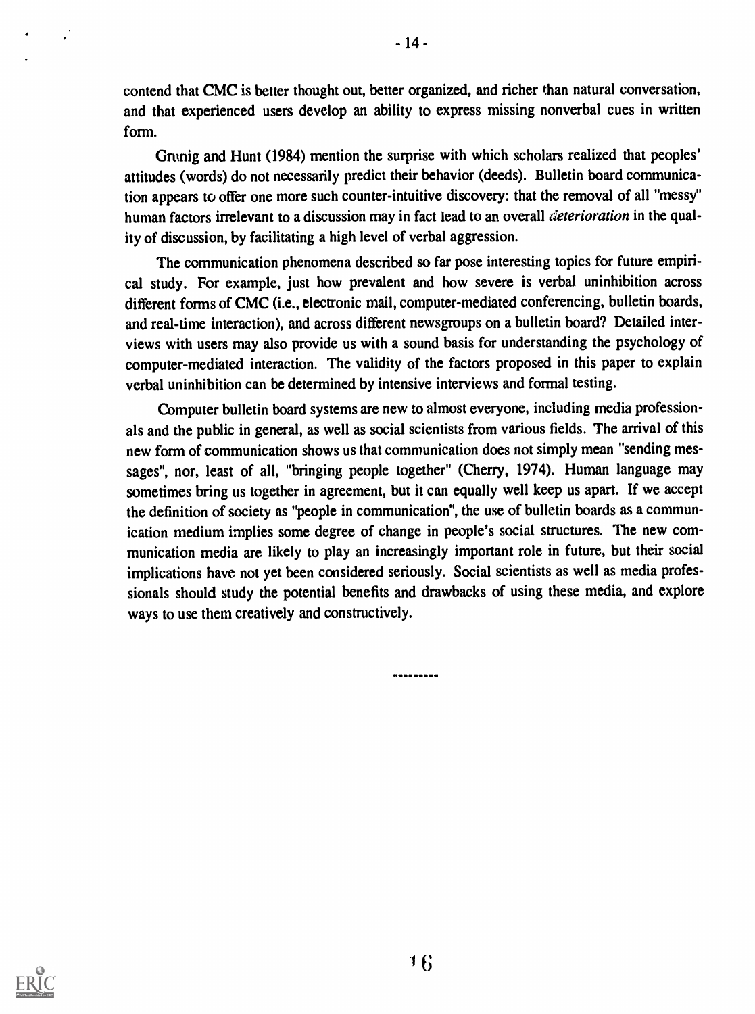contend that CMC is better thought out, better organized, and richer than natural conversation, and that experienced users develop an ability to express missing nonverbal cues in written form.

Grunig and Hunt (1984) mention the surprise with which scholars realized that peoples' attitudes (words) do not necessarily predict their behavior (deeds). Bulletin board communication appears to offer one more such counter-intuitive discovery: that the removal of all "messy" human factors irrelevant to a discussion may in fact lead to an overall *deterioration* in the quality of discussion, by facilitating a high level of verbal aggression.

The communication phenomena described so far pose interesting topics for future empirical study. For example, just how prevalent and how severe is verbal uninhibition across different forms of CMC (i.e., electronic mail, computer-mediated conferencing, bulletin boards, and real-time interaction), and across different newsgroups on a bulletin board? Detailed interviews with users may also provide us with a sound basis for understanding the psychology of computer-mediated interaction. The validity of the factors proposed in this paper to explain verbal uninhibition can be determined by intensive interviews and formal testing.

Computer bulletin board systems are new to almost everyone, including media professionals and the public in general, as well as social scientists from various fields. The arrival of this new form of communication shows us that communication does not simply mean "sending messages", nor, least of all, "bringing people together" (Cherry, 1974). Human language may sometimes bring us together in agreement, but it can equally well keep us apart. If we accept the definition of society as "people in communication", the use of bulletin boards as a communication medium implies some degree of change in people's social structures. The new communication media are likely to play an increasingly important role in future, but their social implications have not yet been considered seriously. Social scientists as well as media professionals should study the potential benefits and drawbacks of using these media, and explore ways to use them creatively and constructively.

.........

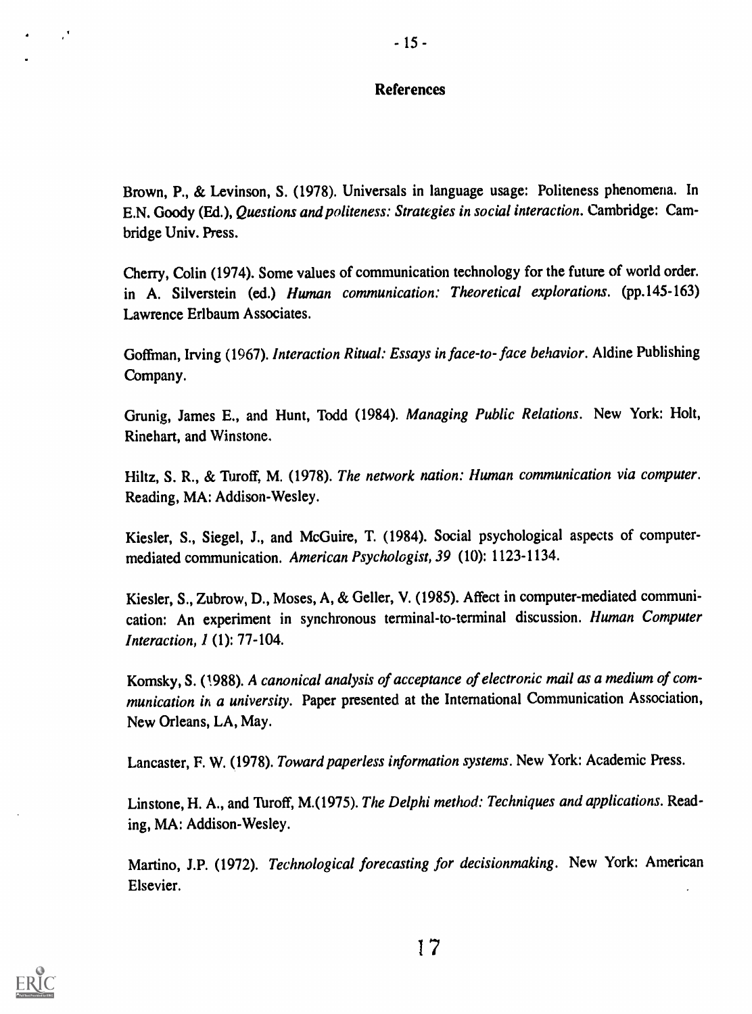## References

Brown, P., & Levinson, S. (1978). Universals in language usage: Politeness phenomena. In E.N. Goody (Ed.), Questions and politeness: Strategies in social interaction. Cambridge: Cambridge Univ. Press.

Cherry, Colin (1974). Some values of communication technology for the future of world order. in A. Silverstein (ed.) Human communication: Theoretical explorations. (pp.145-163) Lawrence Erlbaum Associates.

Goffman, Irving (1967). Interaction Ritual: Essays in face-to- face behavior. Aldine Publishing Company.

Grunig, James E., and Hunt, Todd (1984). Managing Public Relations. New York: Holt, Rinehart, and Winstone.

Hiltz, S. R., & Turoff, M. (1978). The network nation: Human communication via computer. Reading, MA: Addison-Wesley.

Kiesler, S., Siegel, J., and McGuire, T. (1984). Social psychological aspects of computermediated communication. American Psychologist, 39 (10): 1123-1134.

Kiesler, S., Zubrow, D., Moses, A, & Geller, V. (1985). Affect in computer-mediated communication: An experiment in synchronous terminal-to-terminal discussion. Human Computer Interaction, 1 (1): 77-104.

Komsky, S. (1988). A canonical analysis of acceptance of electronic mail as a medium of communication in a university. Paper presented at the International Communication Association, New Orleans, LA, May.

Lancaster, F. W. (1978). Toward paperless information systems. New York: Academic Press.

Linstone, H. A., and Turoff, M.(1975). The Delphi method: Techniques and applications. Reading, MA: Addison-Wesley.

Martino, J.P. (1972). Technological forecasting for decisionmaking. New York: American Elsevier.

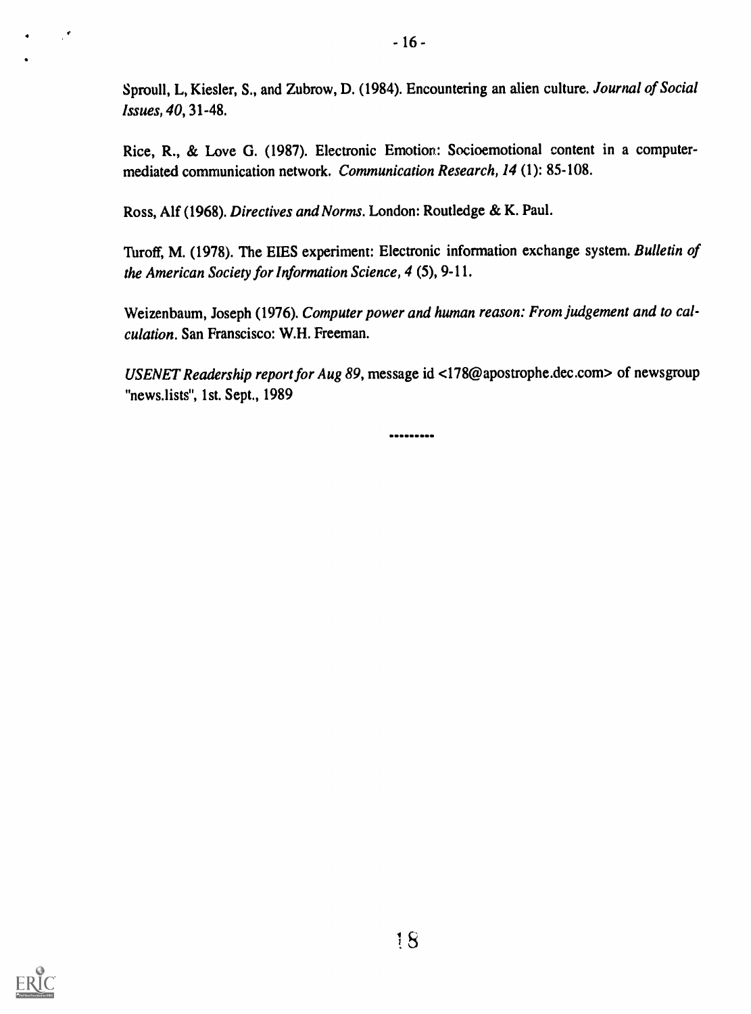Sproull, L, Kiesler, S., and Zubrow, D. (1984). Encountering an alien culture. Journal of Social Issues, 40, 31-48.

Rice, R., & Love G. (1987). Electronic Emotion: Socioemotional content in a computermediated communication network. Communication Research, 14 (1): 85-108.

Ross, Alf (1968). Directives and Norms. London: Routledge & K. Paul.

Turoff, M. (1978). The EIES experiment: Electronic information exchange system. Bulletin of the American Society for Information Science, 4 (5), 9-11.

Weizenbaum, Joseph (1976). Computer power and human reason: From judgement and to calculation. San Franscisco: W.H. Freeman.

USENET Readership report for Aug 89, message id <178@apostrophe.dec.com> of newsgroup "news.lists", 1st. Sept., 1989

---------

S



 $\mathcal{E}$